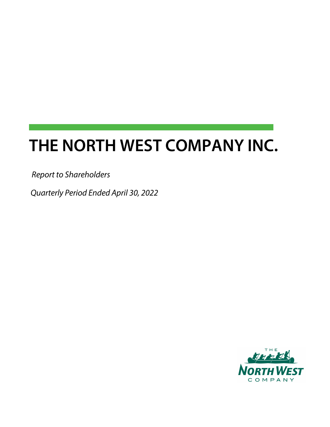# **THE NORTH WEST COMPANY INC.**

Report to Shareholders

Quarterly Period Ended April 30, 2022

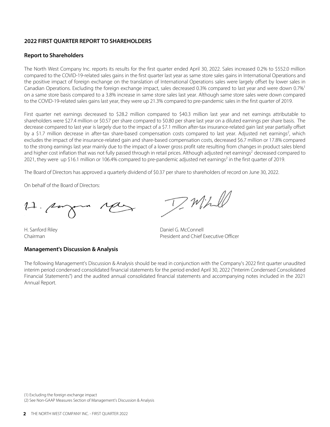#### **2022 FIRST QUARTER REPORT TO SHAREHOLDERS**

#### **Report to Shareholders**

The North West Company Inc. reports its results for the first quarter ended April 30, 2022. Sales increased 0.2% to \$552.0 million compared to the COVID-19-related sales gains in the first quarter last year as same store sales gains in International Operations and the positive impact of foreign exchange on the translation of International Operations sales were largely offset by lower sales in Canadian Operations. Excluding the foreign exchange impact, sales decreased 0.3% compared to last year and were down  $0.7\%$ <sup>1</sup> on a same store basis compared to a 3.8% increase in same store sales last year. Although same store sales were down compared to the COVID-19-related sales gains last year, they were up 21.3% compared to pre-pandemic sales in the first quarter of 2019.

First quarter net earnings decreased to \$28.2 million compared to \$40.3 million last year and net earnings attributable to shareholders were \$27.4 million or \$0.57 per share compared to \$0.80 per share last year on a diluted earnings per share basis. The decrease compared to last year is largely due to the impact of a \$7.1 million after-tax insurance-related gain last year partially offset by a \$1.7 million decrease in after-tax share-based compensation costs compared to last year. Adjusted net earnings<sup>2</sup>, which excludes the impact of the insurance-related gain and share-based compensation costs, decreased \$6.7 million or 17.8% compared to the strong earnings last year mainly due to the impact of a lower gross profit rate resulting from changes in product sales blend and higher cost inflation that was not fully passed through in retail prices. Although adjusted net earnings<sup>2</sup> decreased compared to 2021, they were up \$16.1 million or 106.4% compared to pre-pandemic adjusted net earnings<sup>2</sup> in the first quarter of 2019.

The Board of Directors has approved a quarterly dividend of \$0.37 per share to shareholders of record on June 30, 2022.

On behalf of the Board of Directors:

DWW

H. Sanford Riley **Example 20** and the Daniel G. McConnell Chairman President and Chief Executive Officer

#### **Management's Discussion & Analysis**

The following Management's Discussion & Analysis should be read in conjunction with the Company's 2022 first quarter unaudited interim period condensed consolidated financial statements for the period ended April 30, 2022 ("Interim Condensed Consolidated Financial Statements") and the audited annual consolidated financial statements and accompanying notes included in the 2021 Annual Report.

(1) Excluding the foreign exchange impact

(2) See Non-GAAP Measures Section of Management's Discussion & Analysis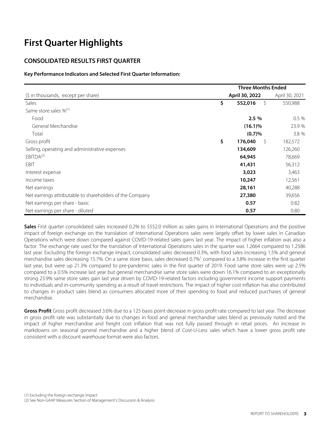## **First Quarter Highlights**

### **CONSOLIDATED RESULTS FIRST QUARTER**

#### **Key Performance Indicators and Selected First Quarter Information:**

|                                                          | <b>Three Months Ended</b> |         |                |  |  |
|----------------------------------------------------------|---------------------------|---------|----------------|--|--|
| (\$ in thousands, except per share)                      | April 30, 2022            |         | April 30, 2021 |  |  |
| Sales                                                    | \$<br>552,016             | $\zeta$ | 550,988        |  |  |
| Same store sales % <sup>(1)</sup>                        |                           |         |                |  |  |
| Food                                                     | 2.5%                      |         | 0.5%           |  |  |
| General Merchandise                                      | $(16.1)\%$                |         | 23.9 %         |  |  |
| Total                                                    | (0.7)%                    |         | 3.8 %          |  |  |
| Gross profit                                             | \$<br>176,040             | Ŝ.      | 182,572        |  |  |
| Selling, operating and administrative expenses           | 134,609                   |         | 126,260        |  |  |
| EBITDA <sup>(2)</sup>                                    | 64,945                    |         | 78,669         |  |  |
| <b>EBIT</b>                                              | 41,431                    |         | 56,312         |  |  |
| Interest expense                                         | 3,023                     |         | 3,463          |  |  |
| Income taxes                                             | 10,247                    |         | 12,561         |  |  |
| Net earnings                                             | 28,161                    |         | 40,288         |  |  |
| Net earnings attributable to shareholders of the Company | 27,380                    |         | 39,656         |  |  |
| Net earnings per share - basic                           | 0.57                      |         | 0.82           |  |  |
| Net earnings per share - diluted                         | 0.57                      |         | 0.80           |  |  |

**Sales** First quarter consolidated sales increased 0.2% to \$552.0 million as sales gains in International Operations and the positive impact of foreign exchange on the translation of International Operations sales were largely offset by lower sales in Canadian Operations which were down compared against COVID-19-related sales gains last year. The impact of higher inflation was also a factor. The exchange rate used for the translation of International Operations sales in the quarter was 1.2664 compared to 1.2586 last year. Excluding the foreign exchange impact, consolidated sales decreased 0.3%, with food sales increasing 1.5% and general merchandise sales decreasing 15.7%. On a same store basis, sales decreased 0.7%<sup>1</sup> compared to a 3.8% increase in the first quarter last year, but were up 21.3% compared to pre-pandemic sales in the first quarter of 2019. Food same store sales were up 2.5% compared to a 0.5% increase last year but general merchandise same store sales were down 16.1% compared to an exceptionally strong 23.9% same store sales gain last year driven by COVID-19-related factors including government income support payments to individuals and in-community spending as a result of travel restrictions. The impact of higher cost inflation has also contributed to changes in product sales blend as consumers allocated more of their spending to food and reduced purchases of general merchandise.

**Gross Profit** Gross profit decreased 3.6% due to a 125 basis point decrease in gross profit rate compared to last year. The decrease in gross profit rate was substantially due to changes in food and general merchandise sales blend as previously noted and the impact of higher merchandise and freight cost inflation that was not fully passed through in retail prices. An increase in markdowns on seasonal general merchandise and a higher blend of Cost-U-Less sales which have a lower gross profit rate consistent with a discount warehouse format were also factors.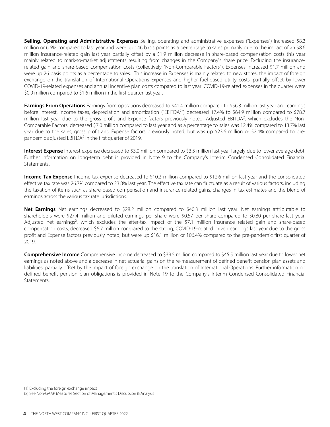**Selling, Operating and Administrative Expenses** Selling, operating and administrative expenses ("Expenses") increased \$8.3 million or 6.6% compared to last year and were up 146 basis points as a percentage to sales primarily due to the impact of an \$8.6 million insurance-related gain last year partially offset by a \$1.9 million decrease in share-based compensation costs this year mainly related to mark-to-market adjustments resulting from changes in the Company's share price. Excluding the insurancerelated gain and share-based compensation costs (collectively "Non-Comparable Factors"), Expenses increased \$1.7 million and were up 26 basis points as a percentage to sales. This increase in Expenses is mainly related to new stores, the impact of foreign exchange on the translation of International Operations Expenses and higher fuel-based utility costs, partially offset by lower COVID-19-related expenses and annual incentive plan costs compared to last year. COVID-19-related expenses in the quarter were \$0.9 million compared to \$1.6 million in the first quarter last year.

**Earnings From Operations** Earnings from operations decreased to \$41.4 million compared to \$56.3 million last year and earnings before interest, income taxes, depreciation and amortization ("EBITDA<sup>2</sup>") decreased 17.4% to \$64.9 million compared to \$78.7 million last year due to the gross profit and Expense factors previously noted. Adjusted EBITDA<sup>2</sup>, which excludes the Non-Comparable Factors, decreased \$7.0 million compared to last year and as a percentage to sales was 12.4% compared to 13.7% last year due to the sales, gross profit and Expense factors previously noted, but was up \$23.6 million or 52.4% compared to prepandemic adjusted EBITDA<sup>2</sup> in the first quarter of 2019.

**Interest Expense** Interest expense decreased to \$3.0 million compared to \$3.5 million last year largely due to lower average debt. Further information on long-term debt is provided in Note 9 to the Company's Interim Condensed Consolidated Financial Statements.

**Income Tax Expense** Income tax expense decreased to \$10.2 million compared to \$12.6 million last year and the consolidated effective tax rate was 26.7% compared to 23.8% last year. The effective tax rate can fluctuate as a result of various factors, including the taxation of items such as share-based compensation and insurance-related gains, changes in tax estimates and the blend of earnings across the various tax rate jurisdictions.

**Net Earnings** Net earnings decreased to \$28.2 million compared to \$40.3 million last year. Net earnings attributable to shareholders were \$27.4 million and diluted earnings per share were \$0.57 per share compared to \$0.80 per share last year. Adjusted net earnings<sup>2</sup>, which excludes the after-tax impact of the \$7.1 million insurance related gain and share-based compensation costs, decreased \$6.7 million compared to the strong, COVID-19-related driven earnings last year due to the gross profit and Expense factors previously noted, but were up \$16.1 million or 106.4% compared to the pre-pandemic first quarter of 2019.

**Comprehensive Income** Comprehensive income decreased to \$39.5 million compared to \$45.5 million last year due to lower net earnings as noted above and a decrease in net actuarial gains on the re-measurement of defined benefit pension plan assets and liabilities, partially offset by the impact of foreign exchange on the translation of International Operations. Further information on defined benefit pension plan obligations is provided in Note 19 to the Company's Interim Condensed Consolidated Financial Statements.

(1) Excluding the foreign exchange impact (2) See Non-GAAP Measures Section of Management's Discussion & Analysis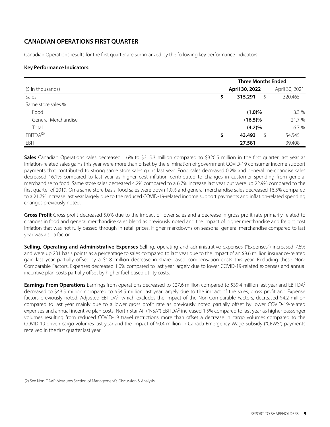### **CANADIAN OPERATIONS FIRST QUARTER**

Canadian Operations results for the first quarter are summarized by the following key performance indicators:

#### **Key Performance Indicators:**

|                       | <b>Three Months Ended</b> |                |                |  |  |  |
|-----------------------|---------------------------|----------------|----------------|--|--|--|
| (\$ in thousands)     |                           | April 30, 2022 | April 30, 2021 |  |  |  |
| Sales                 | \$                        | 315,291        | 320,465        |  |  |  |
| Same store sales %    |                           |                |                |  |  |  |
| Food                  |                           | $(1.0)\%$      | 3.3%           |  |  |  |
| General Merchandise   |                           | $(16.5)\%$     | 21.7 %         |  |  |  |
| Total                 |                           | $(4.2)\%$      | 6.7%           |  |  |  |
| EBITDA <sup>(2)</sup> | \$                        | 43,493<br>S    | 54,545         |  |  |  |
| EBIT                  |                           | 27,581         | 39,408         |  |  |  |

**Sales** Canadian Operations sales decreased 1.6% to \$315.3 million compared to \$320.5 million in the first quarter last year as inflation-related sales gains this year were more than offset by the elimination of government COVID-19 consumer income support payments that contributed to strong same store sales gains last year. Food sales decreased 0.2% and general merchandise sales decreased 16.1% compared to last year as higher cost inflation contributed to changes in customer spending from general merchandise to food. Same store sales decreased 4.2% compared to a 6.7% increase last year but were up 22.9% compared to the first quarter of 2019. On a same store basis, food sales were down 1.0% and general merchandise sales decreased 16.5% compared to a 21.7% increase last year largely due to the reduced COVID-19-related income support payments and inflation-related spending changes previously noted.

**Gross Profit** Gross profit decreased 5.0% due to the impact of lower sales and a decrease in gross profit rate primarily related to changes in food and general merchandise sales blend as previously noted and the impact of higher merchandise and freight cost inflation that was not fully passed through in retail prices. Higher markdowns on seasonal general merchandise compared to last year was also a factor.

**Selling, Operating and Administrative Expenses** Selling, operating and administrative expenses ("Expenses") increased 7.8% and were up 231 basis points as a percentage to sales compared to last year due to the impact of an \$8.6 million insurance-related gain last year partially offset by a \$1.8 million decrease in share-based compensation costs this year. Excluding these Non-Comparable Factors, Expenses decreased 1.0% compared to last year largely due to lower COVID-19-related expenses and annual incentive plan costs partially offset by higher fuel-based utility costs.

**Earnings From Operations** Earnings from operations decreased to \$27.6 million compared to \$39.4 million last year and EBITDA<sup>2</sup> decreased to \$43.5 million compared to \$54.5 million last year largely due to the impact of the sales, gross profit and Expense factors previously noted. Adjusted EBITDA<sup>2</sup>, which excludes the impact of the Non-Comparable Factors, decreased \$4.2 million compared to last year mainly due to a lower gross profit rate as previously noted partially offset by lower COVID-19-related expenses and annual incentive plan costs. North Star Air ("NSA") EBITDA<sup>2</sup> increased 1.5% compared to last year as higher passenger volumes resulting from reduced COVID-19 travel restrictions more than offset a decrease in cargo volumes compared to the COVID-19 driven cargo volumes last year and the impact of \$0.4 million in Canada Emergency Wage Subsidy ("CEWS") payments received in the first quarter last year.

(2) See Non-GAAP Measures Section of Management's Discussion & Analysis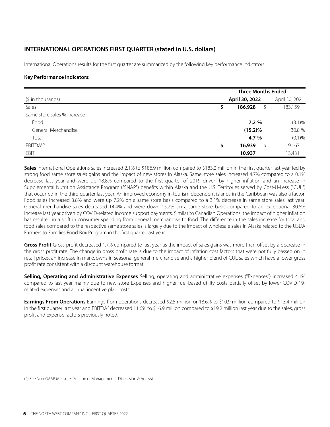### **INTERNATIONAL OPERATIONS FIRST QUARTER (stated in U.S. dollars)**

International Operations results for the first quarter are summarized by the following key performance indicators:

#### **Key Performance Indicators:**

|                             | <b>Three Months Ended</b> |                |  |  |  |  |
|-----------------------------|---------------------------|----------------|--|--|--|--|
| (\$ in thousands)           | April 30, 2022            | April 30, 2021 |  |  |  |  |
| Sales                       | \$<br>186,928             | 183,159        |  |  |  |  |
| Same store sales % increase |                           |                |  |  |  |  |
| Food                        | 7.2%                      | (3.1)%         |  |  |  |  |
| General Merchandise         | $(15.2)\%$                | 30.8 %         |  |  |  |  |
| Total                       | 4.7 %                     | (0.1)%         |  |  |  |  |
| EBITDA <sup>(2)</sup>       | \$<br>16,939<br>Ŝ         | 19,167         |  |  |  |  |
| EBIT                        | 10,937                    | 13,431         |  |  |  |  |

**Sales** International Operations sales increased 2.1% to \$186.9 million compared to \$183.2 million in the first quarter last year led by strong food same store sales gains and the impact of new stores in Alaska. Same store sales increased 4.7% compared to a 0.1% decrease last year and were up 18.8% compared to the first quarter of 2019 driven by higher inflation and an increase in Supplemental Nutrition Assistance Program ("SNAP") benefits within Alaska and the U.S. Territories served by Cost-U-Less ("CUL") that occurred in the third quarter last year. An improved economy in tourism dependent islands in the Caribbean was also a factor. Food sales increased 3.8% and were up 7.2% on a same store basis compared to a 3.1% decrease in same store sales last year. General merchandise sales decreased 14.4% and were down 15.2% on a same store basis compared to an exceptional 30.8% increase last year driven by COVID-related income support payments. Similar to Canadian Operations, the impact of higher inflation has resulted in a shift in consumer spending from general merchandise to food. The difference in the sales increase for total and food sales compared to the respective same store sales is largely due to the impact of wholesale sales in Alaska related to the USDA Farmers to Families Food Box Program in the first quarter last year.

**Gross Profit** Gross profit decreased 1.7% compared to last year as the impact of sales gains was more than offset by a decrease in the gross profit rate. The change in gross profit rate is due to the impact of inflation cost factors that were not fully passed on in retail prices, an increase in markdowns in seasonal general merchandise and a higher blend of CUL sales which have a lower gross profit rate consistent with a discount warehouse format.

**Selling, Operating and Administrative Expenses** Selling, operating and administrative expenses ("Expenses") increased 4.1% compared to last year mainly due to new store Expenses and higher fuel-based utility costs partially offset by lower COVID-19 related expenses and annual incentive plan costs.

**Earnings From Operations** Earnings from operations decreased \$2.5 million or 18.6% to \$10.9 million compared to \$13.4 million in the first quarter last year and EBITDA<sup>2</sup> decreased 11.6% to \$16.9 million compared to \$19.2 million last year due to the sales, gross profit and Expense factors previously noted.

(2) See Non-GAAP Measures Section of Management's Discussion & Analysis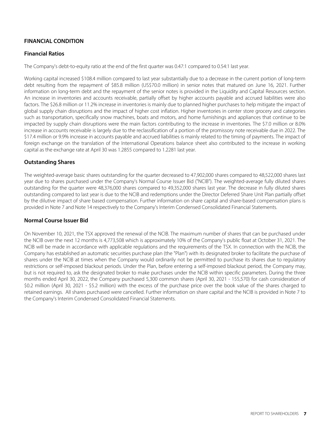#### **FINANCIAL CONDITION**

#### **Financial Ratios**

The Company's debt-to-equity ratio at the end of the first quarter was 0.47:1 compared to 0.54:1 last year.

Working capital increased \$108.4 million compared to last year substantially due to a decrease in the current portion of long-term debt resulting from the repayment of \$85.8 million (US\$70.0 million) in senior notes that matured on June 16, 2021. Further information on long-term debt and the repayment of the senior notes is provided in the Liquidity and Capital Resources section. An increase in inventories and accounts receivable, partially offset by higher accounts payable and accrued liabilities were also factors. The \$26.8 million or 11.2% increase in inventories is mainly due to planned higher purchases to help mitigate the impact of global supply chain disruptions and the impact of higher cost inflation. Higher inventories in center store grocery and categories such as transportation, specifically snow machines, boats and motors, and home furnishings and appliances that continue to be impacted by supply chain disruptions were the main factors contributing to the increase in inventories. The \$7.0 million or 8.0% increase in accounts receivable is largely due to the reclassification of a portion of the promissory note receivable due in 2022. The \$17.4 million or 9.9% increase in accounts payable and accrued liabilities is mainly related to the timing of payments. The impact of foreign exchange on the translation of the International Operations balance sheet also contributed to the increase in working capital as the exchange rate at April 30 was 1.2855 compared to 1.2281 last year.

#### **Outstanding Shares**

The weighted-average basic shares outstanding for the quarter decreased to 47,902,000 shares compared to 48,522,000 shares last year due to shares purchased under the Company's Normal Course Issuer Bid ("NCIB"). The weighted-average fully diluted shares outstanding for the quarter were 48,376,000 shares compared to 49,352,000 shares last year. The decrease in fully diluted shares outstanding compared to last year is due to the NCIB and redemptions under the Director Deferred Share Unit Plan partially offset by the dilutive impact of share based compensation. Further information on share capital and share-based compensation plans is provided in Note 7 and Note 14 respectively to the Company's Interim Condensed Consolidated Financial Statements.

#### **Normal Course Issuer Bid**

On November 10, 2021, the TSX approved the renewal of the NCIB. The maximum number of shares that can be purchased under the NCIB over the next 12 months is 4,773,508 which is approximately 10% of the Company's public float at October 31, 2021. The NCIB will be made in accordance with applicable regulations and the requirements of the TSX. In connection with the NCIB, the Company has established an automatic securities purchase plan (the "Plan") with its designated broker to facilitate the purchase of shares under the NCIB at times when the Company would ordinarily not be permitted to purchase its shares due to regulatory restrictions or self-imposed blackout periods. Under the Plan, before entering a self-imposed blackout period, the Company may, but is not required to, ask the designated broker to make purchases under the NCIB within specific parameters. During the three months ended April 30, 2022, the Company purchased 5,300 common shares (April 30, 2021 - 155,570) for cash consideration of \$0.2 million (April 30, 2021 - \$5.2 million) with the excess of the purchase price over the book value of the shares charged to retained earnings. All shares purchased were cancelled. Further information on share capital and the NCIB is provided in Note 7 to the Company's Interim Condensed Consolidated Financial Statements.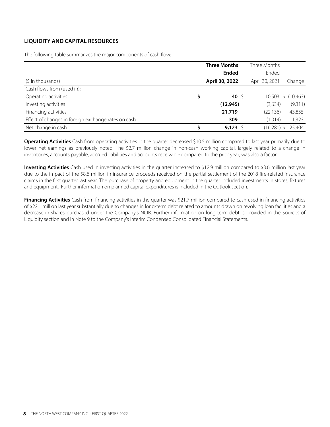#### **LIQUIDITY AND CAPITAL RESOURCES**

The following table summarizes the major components of cash flow:

|                                                     | <b>Three Months</b> | Three Months   |                    |
|-----------------------------------------------------|---------------------|----------------|--------------------|
|                                                     | <b>Ended</b>        | Ended          |                    |
| (\$ in thousands)                                   | April 30, 2022      | April 30, 2021 | Change             |
| Cash flows from (used in):                          |                     |                |                    |
| Operating activities                                | \$<br>40 \$         |                | 10,503 \$ (10,463) |
| Investing activities                                | (12, 945)           | (3,634)        | (9,311)            |
| Financing activities                                | 21,719              | (22,136)       | 43,855             |
| Effect of changes in foreign exchange rates on cash | 309                 | (1,014)        | 1,323              |
| Net change in cash                                  | 9,123 \$            | $(16,281)$ \$  | 25,404             |

**Operating Activities** Cash from operating activities in the quarter decreased \$10.5 million compared to last year primarily due to lower net earnings as previously noted. The \$2.7 million change in non-cash working capital, largely related to a change in inventories, accounts payable, accrued liabilities and accounts receivable compared to the prior year, was also a factor.

**Investing Activities** Cash used in investing activities in the quarter increased to \$12.9 million compared to \$3.6 million last year due to the impact of the \$8.6 million in insurance proceeds received on the partial settlement of the 2018 fire-related insurance claims in the first quarter last year. The purchase of property and equipment in the quarter included investments in stores, fixtures and equipment. Further information on planned capital expenditures is included in the Outlook section.

**Financing Activities** Cash from financing activities in the quarter was \$21.7 million compared to cash used in financing activities of \$22.1 million last year substantially due to changes in long-term debt related to amounts drawn on revolving loan facilities and a decrease in shares purchased under the Company's NCIB. Further information on long-term debt is provided in the Sources of Liquidity section and in Note 9 to the Company's Interim Condensed Consolidated Financial Statements.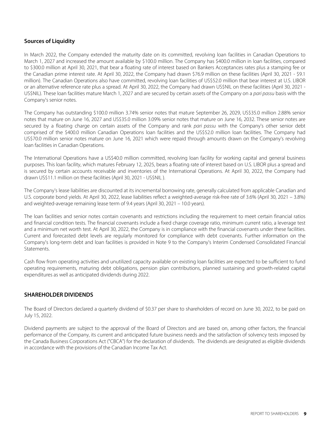#### **Sources of Liquidity**

In March 2022, the Company extended the maturity date on its committed, revolving loan facilities in Canadian Operations to March 1, 2027 and increased the amount available by \$100.0 million. The Company has \$400.0 million in loan facilities, compared to \$300.0 million at April 30, 2021, that bear a floating rate of interest based on Bankers Acceptances rates plus a stamping fee or the Canadian prime interest rate. At April 30, 2022, the Company had drawn \$76.9 million on these facilities (April 30, 2021 - \$9.1 million). The Canadian Operations also have committed, revolving loan facilities of US\$52.0 million that bear interest at U.S. LIBOR or an alternative reference rate plus a spread. At April 30, 2022, the Company had drawn US\$NIL on these facilities (April 30, 2021 - US\$NIL). These loan facilities mature March 1, 2027 and are secured by certain assets of the Company on a pari passu basis with the Company's senior notes.

The Company has outstanding \$100.0 million 3.74% senior notes that mature September 26, 2029, US\$35.0 million 2.88% senior notes that mature on June 16, 2027 and US\$35.0 million 3.09% senior notes that mature on June 16, 2032. These senior notes are secured by a floating charge on certain assets of the Company and rank pari passu with the Company's other senior debt comprised of the \$400.0 million Canadian Operations loan facilities and the US\$52.0 million loan facilities. The Company had US\$70.0 million senior notes mature on June 16, 2021 which were repaid through amounts drawn on the Company's revolving loan facilities in Canadian Operations.

The International Operations have a US\$40.0 million committed, revolving loan facility for working capital and general business purposes. This loan facility, which matures February 12, 2025, bears a floating rate of interest based on U.S. LIBOR plus a spread and is secured by certain accounts receivable and inventories of the International Operations. At April 30, 2022, the Company had drawn US\$11.1 million on these facilities (April 30, 2021 - US\$NIL ).

The Company's lease liabilities are discounted at its incremental borrowing rate, generally calculated from applicable Canadian and U.S. corporate bond yields. At April 30, 2022, lease liabilities reflect a weighted-average risk-free rate of 3.6% (April 30, 2021 – 3.8%) and weighted-average remaining lease term of 9.4 years (April 30, 2021 – 10.0 years).

The loan facilities and senior notes contain covenants and restrictions including the requirement to meet certain financial ratios and financial condition tests. The financial covenants include a fixed charge coverage ratio, minimum current ratio, a leverage test and a minimum net worth test. At April 30, 2022, the Company is in compliance with the financial covenants under these facilities. Current and forecasted debt levels are regularly monitored for compliance with debt covenants. Further information on the Company's long-term debt and loan facilities is provided in Note 9 to the Company's Interim Condensed Consolidated Financial Statements.

Cash flow from operating activities and unutilized capacity available on existing loan facilities are expected to be sufficient to fund operating requirements, maturing debt obligations, pension plan contributions, planned sustaining and growth-related capital expenditures as well as anticipated dividends during 2022.

#### **SHAREHOLDER DIVIDENDS**

The Board of Directors declared a quarterly dividend of \$0.37 per share to shareholders of record on June 30, 2022, to be paid on July 15, 2022.

Dividend payments are subject to the approval of the Board of Directors and are based on, among other factors, the financial performance of the Company, its current and anticipated future business needs and the satisfaction of solvency tests imposed by the Canada Business Corporations Act ("CBCA") for the declaration of dividends. The dividends are designated as eligible dividends in accordance with the provisions of the Canadian Income Tax Act.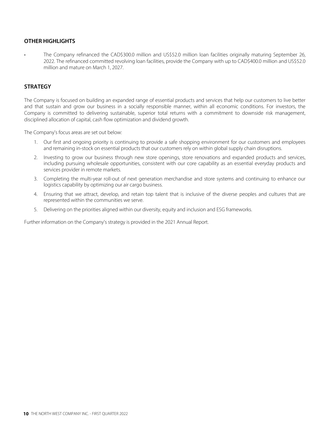#### **OTHER HIGHLIGHTS**

• The Company refinanced the CAD\$300.0 million and US\$52.0 million loan facilities originally maturing September 26, 2022. The refinanced committed revolving loan facilities, provide the Company with up to CAD\$400.0 million and US\$52.0 million and mature on March 1, 2027.

#### **STRATEGY**

The Company is focused on building an expanded range of essential products and services that help our customers to live better and that sustain and grow our business in a socially responsible manner, within all economic conditions. For investors, the Company is committed to delivering sustainable, superior total returns with a commitment to downside risk management, disciplined allocation of capital, cash flow optimization and dividend growth.

The Company's focus areas are set out below:

- 1. Our first and ongoing priority is continuing to provide a safe shopping environment for our customers and employees and remaining in-stock on essential products that our customers rely on within global supply chain disruptions.
- 2. Investing to grow our business through new store openings, store renovations and expanded products and services, including pursuing wholesale opportunities, consistent with our core capability as an essential everyday products and services provider in remote markets.
- 3. Completing the multi-year roll-out of next generation merchandise and store systems and continuing to enhance our logistics capability by optimizing our air cargo business.
- 4. Ensuring that we attract, develop, and retain top talent that is inclusive of the diverse peoples and cultures that are represented within the communities we serve.
- 5. Delivering on the priorities aligned within our diversity, equity and inclusion and ESG frameworks.

Further information on the Company's strategy is provided in the 2021 Annual Report.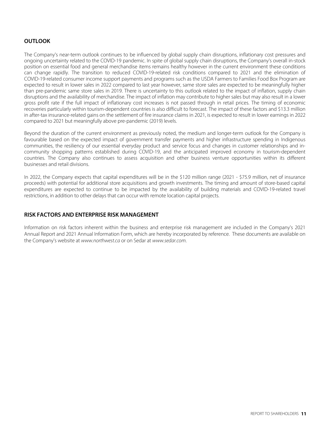#### **OUTLOOK**

The Company's near-term outlook continues to be influenced by global supply chain disruptions, inflationary cost pressures and ongoing uncertainty related to the COVID-19 pandemic. In spite of global supply chain disruptions, the Company's overall in-stock position on essential food and general merchandise items remains healthy however in the current environment these conditions can change rapidly. The transition to reduced COVID-19-related risk conditions compared to 2021 and the elimination of COVID-19-related consumer income support payments and programs such as the USDA Farmers to Families Food Box Program are expected to result in lower sales in 2022 compared to last year however, same store sales are expected to be meaningfully higher than pre-pandemic same store sales in 2019. There is uncertainty to this outlook related to the impact of inflation, supply chain disruptions and the availability of merchandise. The impact of inflation may contribute to higher sales but may also result in a lower gross profit rate if the full impact of inflationary cost increases is not passed through in retail prices. The timing of economic recoveries particularly within tourism-dependent countries is also difficult to forecast. The impact of these factors and \$13.3 million in after-tax insurance-related gains on the settlement of fire insurance claims in 2021, is expected to result in lower earnings in 2022 compared to 2021 but meaningfully above pre-pandemic (2019) levels.

Beyond the duration of the current environment as previously noted, the medium and longer-term outlook for the Company is favourable based on the expected impact of government transfer payments and higher infrastructure spending in Indigenous communities, the resiliency of our essential everyday product and service focus and changes in customer relationships and incommunity shopping patterns established during COVID-19, and the anticipated improved economy in tourism-dependent countries. The Company also continues to assess acquisition and other business venture opportunities within its different businesses and retail divisions.

In 2022, the Company expects that capital expenditures will be in the \$120 million range (2021 - \$75.9 million, net of insurance proceeds) with potential for additional store acquisitions and growth investments. The timing and amount of store-based capital expenditures are expected to continue to be impacted by the availability of building materials and COVID-19-related travel restrictions, in addition to other delays that can occur with remote location capital projects.

#### **RISK FACTORS AND ENTERPRISE RISK MANAGEMENT**

Information on risk factors inherent within the business and enterprise risk management are included in the Company's 2021 Annual Report and 2021 Annual Information Form, which are hereby incorporated by reference. These documents are available on the Company's website at www.northwest.ca or on Sedar at www.sedar.com.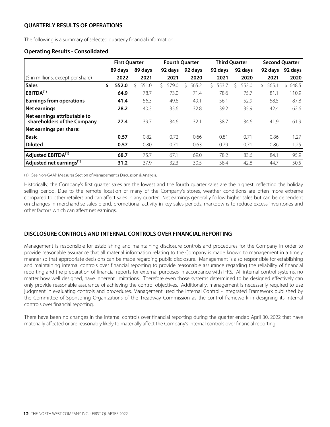#### **QUARTERLY RESULTS OF OPERATIONS**

The following is a summary of selected quarterly financial information:

#### **Operating Results - Consolidated**

|                                                             | <b>First Quarter</b> |         |         | <b>Fourth Quarter</b> | <b>Third Quarter</b> |            | <b>Second Quarter</b> |         |
|-------------------------------------------------------------|----------------------|---------|---------|-----------------------|----------------------|------------|-----------------------|---------|
|                                                             | 89 days              | 89 days | 92 days | 92 days               | 92 days              | 92 davs    | 92 days               | 92 days |
| (\$ in millions, except per share)                          | 2022                 | 2021    | 2021    | 2020                  | 2021                 | 2020       | 2021                  | 2020    |
| <b>Sales</b>                                                | \$<br>552.0          | 551.0   | 579.0   | 565.2                 | 553.7<br>ς           | 553.0<br>ς | 565.1                 | \$648.5 |
| EBITDA <sup>(1)</sup>                                       | 64.9                 | 78.7    | 73.0    | 71.4                  | 78.6                 | 75.7       | 81.1                  | 110.9   |
| <b>Earnings from operations</b>                             | 41.4                 | 56.3    | 49.6    | 49.1                  | 56.1                 | 52.9       | 58.5                  | 87.8    |
| Net earnings                                                | 28.2                 | 40.3    | 35.6    | 32.8                  | 39.2                 | 35.9       | 42.4                  | 62.6    |
| Net earnings attributable to<br>shareholders of the Company | 27.4                 | 39.7    | 34.6    | 32.1                  | 38.7                 | 34.6       | 41.9                  | 61.9    |
| Net earnings per share:                                     |                      |         |         |                       |                      |            |                       |         |
| <b>Basic</b>                                                | 0.57                 | 0.82    | 0.72    | 0.66                  | 0.81                 | 0.71       | 0.86                  | 1.27    |
| l Diluted                                                   | 0.57                 | 0.80    | 0.71    | 0.63                  | 0.79                 | 0.71       | 0.86                  | 1.25    |
| $ $ Adjusted EBITDA $^{(1)}$                                | 68.7                 | 75.7    | 67.1    | 69.0                  | 78.2                 | 83.6       | 84.1                  | 95.9    |
| $ $ Adjusted net earnings $^{(1)}$                          | 31.2                 | 37.9    | 32.3    | 30.5                  | 38.4                 | 42.8       | 44.7                  | 50.5    |

(1) See Non-GAAP Measures Section of Management's Discussion & Analysis.

Historically, the Company's first quarter sales are the lowest and the fourth quarter sales are the highest, reflecting the holiday selling period. Due to the remote location of many of the Company's stores, weather conditions are often more extreme compared to other retailers and can affect sales in any quarter. Net earnings generally follow higher sales but can be dependent on changes in merchandise sales blend, promotional activity in key sales periods, markdowns to reduce excess inventories and other factors which can affect net earnings.

#### **DISCLOSURE CONTROLS AND INTERNAL CONTROLS OVER FINANCIAL REPORTING**

Management is responsible for establishing and maintaining disclosure controls and procedures for the Company in order to provide reasonable assurance that all material information relating to the Company is made known to management in a timely manner so that appropriate decisions can be made regarding public disclosure. Management is also responsible for establishing and maintaining internal controls over financial reporting to provide reasonable assurance regarding the reliability of financial reporting and the preparation of financial reports for external purposes in accordance with IFRS. All internal control systems, no matter how well designed, have inherent limitations. Therefore even those systems determined to be designed effectively can only provide reasonable assurance of achieving the control objectives. Additionally, management is necessarily required to use judgment in evaluating controls and procedures. Management used the Internal Control - Integrated Framework published by the Committee of Sponsoring Organizations of the Treadway Commission as the control framework in designing its internal controls over financial reporting.

There have been no changes in the internal controls over financial reporting during the quarter ended April 30, 2022 that have materially affected or are reasonably likely to materially affect the Company's internal controls over financial reporting.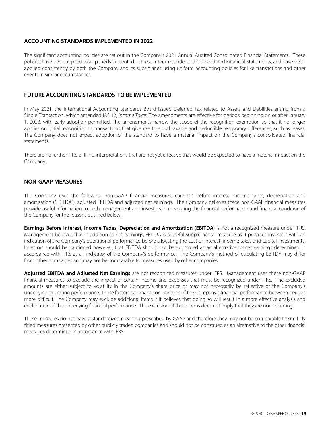#### **ACCOUNTING STANDARDS IMPLEMENTED IN 2022**

The significant accounting policies are set out in the Company's 2021 Annual Audited Consolidated Financial Statements. These policies have been applied to all periods presented in these Interim Condensed Consolidated Financial Statements, and have been applied consistently by both the Company and its subsidiaries using uniform accounting policies for like transactions and other events in similar circumstances.

#### **FUTURE ACCOUNTING STANDARDS TO BE IMPLEMENTED**

In May 2021, the International Accounting Standards Board issued Deferred Tax related to Assets and Liabilities arising from a Single Transaction, which amended IAS 12, Income Taxes. The amendments are effective for periods beginning on or after January 1, 2023, with early adoption permitted. The amendments narrow the scope of the recognition exemption so that it no longer applies on initial recognition to transactions that give rise to equal taxable and deductible temporary differences, such as leases. The Company does not expect adoption of the standard to have a material impact on the Company's consolidated financial statements.

There are no further IFRS or IFRIC interpretations that are not yet effective that would be expected to have a material impact on the Company.

#### **NON-GAAP MEASURES**

The Company uses the following non-GAAP financial measures: earnings before interest, income taxes, depreciation and amortization ("EBITDA"), adjusted EBITDA and adjusted net earnings. The Company believes these non-GAAP financial measures provide useful information to both management and investors in measuring the financial performance and financial condition of the Company for the reasons outlined below.

**Earnings Before Interest, Income Taxes, Depreciation and Amortization (EBITDA)** is not a recognized measure under IFRS. Management believes that in addition to net earnings, EBITDA is a useful supplemental measure as it provides investors with an indication of the Company's operational performance before allocating the cost of interest, income taxes and capital investments. Investors should be cautioned however, that EBITDA should not be construed as an alternative to net earnings determined in accordance with IFRS as an indicator of the Company's performance. The Company's method of calculating EBITDA may differ from other companies and may not be comparable to measures used by other companies.

**Adjusted EBITDA and Adjusted Net Earnings** are not recognized measures under IFRS. Management uses these non-GAAP financial measures to exclude the impact of certain income and expenses that must be recognized under IFRS. The excluded amounts are either subject to volatility in the Company's share price or may not necessarily be reflective of the Company's underlying operating performance. These factors can make comparisons of the Company's financial performance between periods more difficult. The Company may exclude additional items if it believes that doing so will result in a more effective analysis and explanation of the underlying financial performance. The exclusion of these items does not imply that they are non-recurring.

These measures do not have a standardized meaning prescribed by GAAP and therefore they may not be comparable to similarly titled measures presented by other publicly traded companies and should not be construed as an alternative to the other financial measures determined in accordance with IFRS.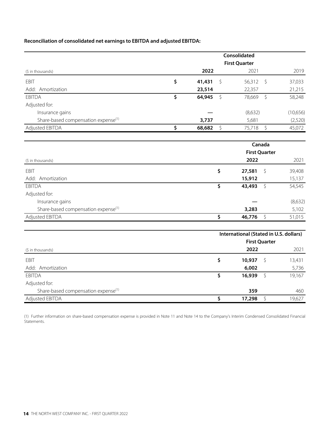#### **Reconciliation of consolidated net earnings to EBITDA and adjusted EBITDA:**

|                                                 | Consolidated |        |         |                                        |                      |          |  |
|-------------------------------------------------|--------------|--------|---------|----------------------------------------|----------------------|----------|--|
|                                                 |              |        |         | <b>First Quarter</b>                   |                      |          |  |
| (\$ in thousands)                               |              | 2022   |         | 2021                                   |                      | 2019     |  |
| EBIT                                            | \$           | 41,431 | \$      | 56,312                                 | \$                   | 37,033   |  |
| Add: Amortization                               |              | 23,514 |         | 22,357                                 |                      | 21,215   |  |
| <b>EBITDA</b>                                   | \$           | 64,945 | $\zeta$ | 78,669                                 | $\zeta$              | 58,248   |  |
| Adjusted for:                                   |              |        |         |                                        |                      |          |  |
| Insurance gains                                 |              |        |         | (8,632)                                |                      | (10,656) |  |
| Share-based compensation expense <sup>(1)</sup> |              | 3,737  |         | 5,681                                  |                      | (2,520)  |  |
| Adjusted EBITDA                                 | \$           | 68,682 | \$      | 75,718                                 | $\zeta$              | 45,072   |  |
|                                                 |              |        |         |                                        | Canada               |          |  |
|                                                 |              |        |         |                                        | <b>First Quarter</b> |          |  |
| (\$ in thousands)                               |              |        |         | 2022                                   |                      | 2021     |  |
| EBIT                                            |              |        | \$      | 27,581                                 | $\zeta$              | 39,408   |  |
| Add: Amortization                               |              |        |         | 15,912                                 |                      | 15,137   |  |
| <b>EBITDA</b>                                   |              |        | \$      | 43,493                                 | $\zeta$              | 54,545   |  |
| Adjusted for:                                   |              |        |         |                                        |                      |          |  |
| Insurance gains                                 |              |        |         |                                        |                      | (8,632)  |  |
| Share-based compensation expense <sup>(1)</sup> |              |        |         | 3,283                                  |                      | 5,102    |  |
| Adjusted EBITDA                                 |              |        | \$      | 46,776                                 | \$                   | 51,015   |  |
|                                                 |              |        |         | International (Stated in U.S. dollars) |                      |          |  |
|                                                 |              |        |         |                                        | <b>First Quarter</b> |          |  |
| (\$ in thousands)                               |              |        |         | 2022                                   |                      | 2021     |  |
| EBIT                                            |              |        | \$      | 10,937                                 | \$                   | 13,431   |  |
| Add: Amortization                               |              |        |         | 6,002                                  |                      | 5,736    |  |
| <b>EBITDA</b>                                   |              |        | \$      | 16,939                                 | \$                   | 19,167   |  |
| Adjusted for:                                   |              |        |         |                                        |                      |          |  |
| Share-based compensation expense <sup>(1)</sup> |              |        |         | 359                                    |                      | 460      |  |

(1) Further information on share-based compensation expense is provided in Note 11 and Note 14 to the Company's Interim Condensed Consolidated Financial Statements.

Adjusted EBITDA **5 17,298 \$** 19,627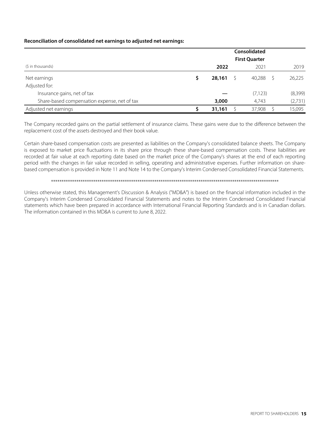#### **Reconciliation of consolidated net earnings to adjusted net earnings:**

|                                              |   | Consolidated |  |                      |         |  |  |
|----------------------------------------------|---|--------------|--|----------------------|---------|--|--|
|                                              |   |              |  | <b>First Quarter</b> |         |  |  |
| (\$ in thousands)                            |   | 2022         |  | 2021                 | 2019    |  |  |
| Net earnings                                 | S | 28,161       |  | 40,288               | 26,225  |  |  |
| Adjusted for:                                |   |              |  |                      |         |  |  |
| Insurance gains, net of tax                  |   |              |  | (7, 123)             | (8,399) |  |  |
| Share-based compensation expense, net of tax |   | 3,000        |  | 4,743                | (2,731) |  |  |
| Adjusted net earnings                        |   | 31,161       |  | 37,908               | 15,095  |  |  |

The Company recorded gains on the partial settlement of insurance claims. These gains were due to the difference between the replacement cost of the assets destroyed and their book value.

Certain share-based compensation costs are presented as liabilities on the Company's consolidated balance sheets. The Company is exposed to market price fluctuations in its share price through these share-based compensation costs. These liabilities are recorded at fair value at each reporting date based on the market price of the Company's shares at the end of each reporting period with the changes in fair value recorded in selling, operating and administrative expenses. Further information on sharebased compensation is provided in Note 11 and Note 14 to the Company's Interim Condensed Consolidated Financial Statements.

#### \*\*\*\*\*\*\*\*\*\*\*\*\*\*\*\*\*\*\*\*\*\*\*\*\*\*\*\*\*\*\*\*\*\*\*\*\*\*\*\*\*\*\*\*\*\*\*\*\*\*\*\*\*\*\*\*\*\*\*\*\*\*\*\*\*\*\*\*\*\*\*\*\*\*\*\*\*\*\*\*\*\*\*\*\*\*\*\*\*\*\*\*\*\*\*\*\*\*\*\*\*\*\*\*\*\*\*\*

Unless otherwise stated, this Management's Discussion & Analysis ("MD&A") is based on the financial information included in the Company's Interim Condensed Consolidated Financial Statements and notes to the Interim Condensed Consolidated Financial statements which have been prepared in accordance with International Financial Reporting Standards and is in Canadian dollars. The information contained in this MD&A is current to June 8, 2022.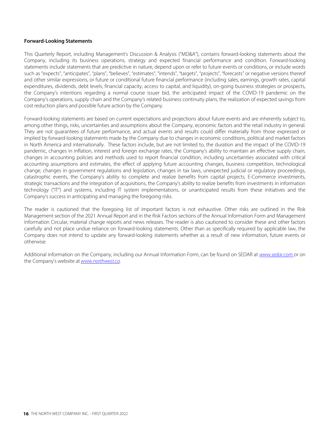#### **Forward-Looking Statements**

This Quarterly Report, including Management's Discussion & Analysis ("MD&A"), contains forward-looking statements about the Company, including its business operations, strategy and expected financial performance and condition. Forward-looking statements include statements that are predictive in nature, depend upon or refer to future events or conditions, or include words such as "expects", "anticipates", "plans", "believes", "estimates", "intends", "targets", "projects", "forecasts" or negative versions thereof and other similar expressions, or future or conditional future financial performance (including sales, earnings, growth rates, capital expenditures, dividends, debt levels, financial capacity, access to capital, and liquidity), on-going business strategies or prospects, the Company's intentions regarding a normal course issuer bid, the anticipated impact of the COVID-19 pandemic on the Company's operations, supply chain and the Company's related business continuity plans, the realization of expected savings from cost reduction plans and possible future action by the Company.

Forward-looking statements are based on current expectations and projections about future events and are inherently subject to, among other things, risks, uncertainties and assumptions about the Company, economic factors and the retail industry in general. They are not guarantees of future performance, and actual events and results could differ materially from those expressed or implied by forward-looking statements made by the Company due to changes in economic conditions, political and market factors in North America and internationally. These factors include, but are not limited to, the duration and the impact of the COVID-19 pandemic, changes in inflation, interest and foreign exchange rates, the Company's ability to maintain an effective supply chain, changes in accounting policies and methods used to report financial condition, including uncertainties associated with critical accounting assumptions and estimates, the effect of applying future accounting changes, business competition, technological change, changes in government regulations and legislation, changes in tax laws, unexpected judicial or regulatory proceedings, catastrophic events, the Company's ability to complete and realize benefits from capital projects, E-Commerce investments, strategic transactions and the integration of acquisitions, the Company's ability to realize benefits from investments in information technology ("IT") and systems, including IT system implementations, or unanticipated results from these initiatives and the Company's success in anticipating and managing the foregoing risks.

The reader is cautioned that the foregoing list of important factors is not exhaustive. Other risks are outlined in the Risk Management section of the 2021 Annual Report and in the Risk Factors sections of the Annual Information Form and Management Information Circular, material change reports and news releases. The reader is also cautioned to consider these and other factors carefully and not place undue reliance on forward-looking statements. Other than as specifically required by applicable law, the Company does not intend to update any forward-looking statements whether as a result of new information, future events or otherwise.

Additional information on the Company, including our Annual Information Form, can be found on SEDAR at [www.sedar.com](http://www.sedar.com) or on the Company's website at [www.northwest.ca](http://www.northwest.ca).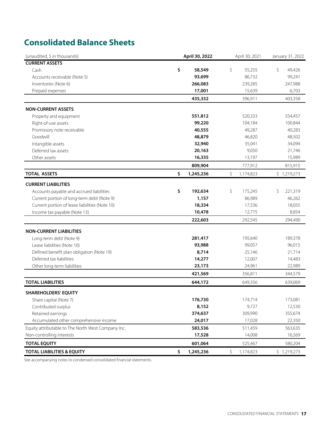## **Consolidated Balance Sheets**

| (unaudited, \$ in thousands)                       | April 30, 2022  | April 30, 2021  | January 31, 2022 |
|----------------------------------------------------|-----------------|-----------------|------------------|
| <b>CURRENT ASSETS</b>                              |                 |                 |                  |
| Cash                                               | \$<br>58,549    | \$<br>55,255    | \$<br>49,426     |
| Accounts receivable (Note 5)                       | 93,699          | 86,732          | 99,241           |
| Inventories (Note 6)                               | 266,083         | 239,285         | 247,988          |
| Prepaid expenses                                   | 17,001          | 15,639          | 6,703            |
|                                                    | 435,332         | 396,911         | 403,358          |
| <b>NON-CURRENT ASSETS</b>                          |                 |                 |                  |
| Property and equipment                             | 551,812         | 520,333         | 554,457          |
| Right-of-use assets                                | 99,220          | 104,184         | 100,844          |
| Promissory note receivable                         | 40,555          | 49,287          | 40,283           |
| Goodwill                                           | 48,879          | 46,820          | 48,502           |
| Intangible assets                                  | 32,940          | 35,041          | 34,094           |
| Deferred tax assets                                | 20,163          | 9,050           | 21,746           |
| Other assets                                       | 16,335          | 13,197          | 15,989           |
|                                                    | 809,904         | 777,912         | 815,915          |
| <b>TOTAL ASSETS</b>                                | \$<br>1,245,236 | \$<br>1,174,823 | \$1,219,273      |
| <b>CURRENT LIABILITIES</b>                         |                 |                 |                  |
| Accounts payable and accrued liabilities           | \$<br>192,634   | \$<br>175,245   | \$<br>221,319    |
| Current portion of long-term debt (Note 9)         | 1,157           | 86,989          | 46,262           |
| Current portion of lease liabilities (Note 10)     | 18,334          | 17,536          | 18,055           |
| Income tax payable (Note 13)                       | 10,478          | 12,775          | 8,854            |
|                                                    | 222,603         | 292,545         | 294,490          |
| <b>NON-CURRENT LIABILITIES</b>                     |                 |                 |                  |
| Long-term debt (Note 9)                            | 281,417         | 195,640         | 189,378          |
| Lease liabilities (Note 10)                        | 93,988          | 99,057          | 96,015           |
| Defined benefit plan obligation (Note 19)          | 8,714           | 25,146          | 21,714           |
| Deferred tax liabilities                           | 14,277          | 12,007          | 14,483           |
| Other long-term liabilities                        | 23,173          | 24,961          | 22,989           |
|                                                    | 421,569         | 356,811         | 344,579          |
| <b>TOTAL LIABILITIES</b>                           | 644,172         | 649,356         | 639,069          |
| <b>SHAREHOLDERS' EOUITY</b>                        |                 |                 |                  |
| Share capital (Note 7)                             | 176,730         | 174,714         | 173,081          |
| Contributed surplus                                | 8,152           | 9,727           | 12,530           |
| Retained earnings                                  | 374,637         | 309,990         | 355,674          |
| Accumulated other comprehensive income             | 24,017          | 17,028          | 22,350           |
| Equity attributable to The North West Company Inc. | 583,536         | 511,459         | 563,635          |
| Non-controlling interests                          | 17,528          | 14,008          | 16,569           |
| <b>TOTAL EQUITY</b>                                | 601,064         | 525,467         | 580,204          |
| <b>TOTAL LIABILITIES &amp; EQUITY</b>              | \$<br>1,245,236 | \$<br>1,174,823 | \$1,219,273      |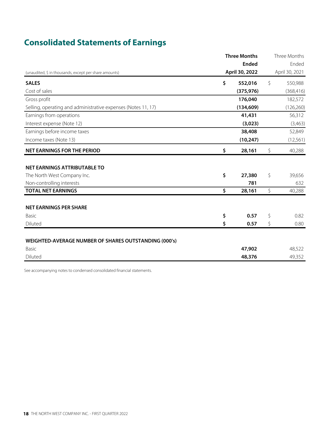## **Consolidated Statements of Earnings**

|                                                               | <b>Three Months</b> | Three Months   |
|---------------------------------------------------------------|---------------------|----------------|
|                                                               | <b>Ended</b>        | Ended          |
| (unaudited, \$ in thousands, except per share amounts)        | April 30, 2022      | April 30, 2021 |
| <b>SALES</b>                                                  | \$<br>552,016       | \$<br>550,988  |
| Cost of sales                                                 | (375, 976)          | (368, 416)     |
| Gross profit                                                  | 176,040             | 182,572        |
| Selling, operating and administrative expenses (Notes 11, 17) | (134, 609)          | (126, 260)     |
| Earnings from operations                                      | 41,431              | 56,312         |
| Interest expense (Note 12)                                    | (3,023)             | (3,463)        |
| Earnings before income taxes                                  | 38,408              | 52,849         |
| Income taxes (Note 13)                                        | (10, 247)           | (12, 561)      |
| <b>NET EARNINGS FOR THE PERIOD</b>                            | \$<br>28,161        | \$<br>40,288   |
|                                                               |                     |                |
| NET EARNINGS ATTRIBUTABLE TO                                  |                     |                |
| The North West Company Inc.                                   | \$<br>27,380        | \$<br>39,656   |
| Non-controlling interests                                     | 781                 | 632            |
| <b>TOTAL NET EARNINGS</b>                                     | \$<br>28,161        | \$<br>40,288   |
|                                                               |                     |                |
| <b>NET EARNINGS PER SHARE</b>                                 |                     |                |
| Basic                                                         | \$<br>0.57          | \$<br>0.82     |
| Diluted                                                       | \$<br>0.57          | \$<br>0.80     |
|                                                               |                     |                |
| WEIGHTED-AVERAGE NUMBER OF SHARES OUTSTANDING (000's)         |                     |                |
| Basic                                                         | 47,902              | 48,522         |
| Diluted                                                       | 48,376              | 49,352         |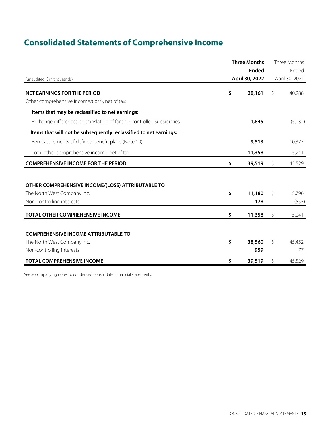## **Consolidated Statements of Comprehensive Income**

|                                                                        | <b>Three Months</b> |    | Three Months   |
|------------------------------------------------------------------------|---------------------|----|----------------|
|                                                                        | <b>Ended</b>        |    | Ended          |
| (unaudited, \$ in thousands)                                           | April 30, 2022      |    | April 30, 2021 |
| <b>NET EARNINGS FOR THE PERIOD</b>                                     | \$<br>28,161        | \$ | 40,288         |
| Other comprehensive income/(loss), net of tax:                         |                     |    |                |
| Items that may be reclassified to net earnings:                        |                     |    |                |
| Exchange differences on translation of foreign controlled subsidiaries | 1,845               |    | (5, 132)       |
| Items that will not be subsequently reclassified to net earnings:      |                     |    |                |
| Remeasurements of defined benefit plans (Note 19)                      | 9,513               |    | 10,373         |
| Total other comprehensive income, net of tax                           | 11,358              |    | 5,241          |
| <b>COMPREHENSIVE INCOME FOR THE PERIOD</b>                             | \$<br>39,519        | \$ | 45,529         |
|                                                                        |                     |    |                |
| OTHER COMPREHENSIVE INCOME/(LOSS) ATTRIBUTABLE TO                      |                     |    |                |
| The North West Company Inc.                                            | \$<br>11,180        | Ŝ. | 5,796          |
| Non-controlling interests                                              | 178                 |    | (555)          |
| <b>TOTAL OTHER COMPREHENSIVE INCOME</b>                                | \$<br>11,358        | \$ | 5,241          |
|                                                                        |                     |    |                |
| <b>COMPREHENSIVE INCOME ATTRIBUTABLE TO</b>                            |                     |    |                |
| The North West Company Inc.                                            | \$<br>38,560        | \$ | 45,452         |
| Non-controlling interests                                              | 959                 |    | 77             |
| <b>TOTAL COMPREHENSIVE INCOME</b>                                      | \$<br>39,519        | \$ | 45,529         |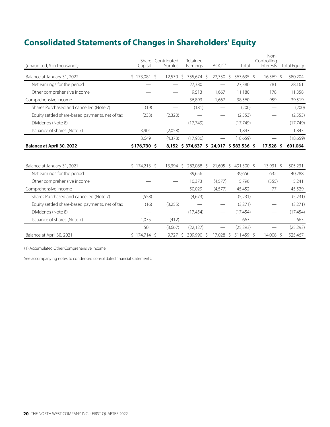## **Consolidated Statements of Changes in Shareholders' Equity**

| (unaudited, \$ in thousands)                    | Share<br>Capital | Contributed<br>Surplus        | Retained<br>Earnings | $AOCI^{(1)}$ | Total                                 | Non-<br>Controlling      | Interests Total Equity |
|-------------------------------------------------|------------------|-------------------------------|----------------------|--------------|---------------------------------------|--------------------------|------------------------|
| Balance at January 31, 2022                     | $$173,081$ \$    | 12,530 \$                     | 355,674 \$           | $22,350$ \$  | 563,635 \$                            | 16,569 \$                | 580,204                |
| Net earnings for the period                     |                  |                               | 27,380               |              | 27,380                                | 781                      | 28,161                 |
| Other comprehensive income                      |                  |                               | 9,513                | 1,667        | 11,180                                | 178                      | 11,358                 |
| Comprehensive income                            |                  |                               | 36,893               | 1.667        | 38,560                                | 959                      | 39,519                 |
| Shares Purchased and cancelled (Note 7)         | (19)             |                               | (181)                |              | (200)                                 |                          | (200)                  |
| Equity settled share-based payments, net of tax | (233)            | (2,320)                       |                      |              | (2, 553)                              |                          | (2, 553)               |
| Dividends (Note 8)                              |                  | $\overbrace{\phantom{12333}}$ | (17, 749)            |              | (17, 749)                             | -                        | (17, 749)              |
| Issuance of shares (Note 7)                     | 3,901            | (2,058)                       |                      |              | 1,843                                 |                          | 1,843                  |
|                                                 | 3,649            | (4,378)                       | (17,930)             |              | (18,659)                              | $\overline{\phantom{0}}$ | (18,659)               |
| Balance at April 30, 2022                       | \$176,730 \$     |                               |                      |              | 8,152 \$374,637 \$24,017 \$583,536 \$ | 17,528 \$                | 601,064                |
|                                                 |                  |                               |                      |              |                                       |                          |                        |
| Balance at January 31, 2021                     | $$174,213$ \$    | 13,394 \$                     | 282,088 \$           | $21,605$ \$  | 491,300 \$                            | 13,931 \$                | 505,231                |
| Net earnings for the period                     |                  |                               | 39,656               |              | 39,656                                | 632                      | 40,288                 |
| Other comprehensive income                      |                  |                               | 10,373               | (4,577)      | 5,796                                 | (555)                    | 5,241                  |
| Comprehensive income                            |                  |                               | 50,029               | (4,577)      | 45,452                                | 77                       | 45,529                 |
| Shares Purchased and cancelled (Note 7)         | (558)            | $\overline{\phantom{0}}$      | (4,673)              |              | (5,231)                               |                          | (5,231)                |
| Equity settled share-based payments, net of tax | (16)             | (3,255)                       |                      |              | (3,271)                               |                          | (3,271)                |
| Dividends (Note 8)                              |                  |                               | (17, 454)            |              | (17, 454)                             |                          | (17, 454)              |
| Issuance of shares (Note 7)                     | 1,075            | (412)                         |                      |              | 663                                   |                          | 663                    |
|                                                 | 501              | (3,667)                       | (22, 127)            |              | (25, 293)                             | $\overline{\phantom{0}}$ | (25, 293)              |
| Balance at April 30, 2021                       | $$174,714$ \$    | $9,727$ \$                    | 309,990 \$           | 17,028 \$    | 511,459 \$                            | 14,008 \$                | 525,467                |

(1) Accumulated Other Comprehensive Income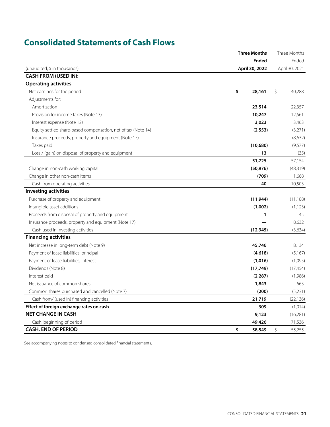## **Consolidated Statements of Cash Flows**

|                                                               | <b>Three Months</b> | Three Months   |  |  |
|---------------------------------------------------------------|---------------------|----------------|--|--|
|                                                               | <b>Ended</b>        | Ended          |  |  |
| (unaudited, \$ in thousands)                                  | April 30, 2022      | April 30, 2021 |  |  |
| <b>CASH FROM (USED IN):</b>                                   |                     |                |  |  |
| <b>Operating activities</b>                                   |                     |                |  |  |
| Net earnings for the period                                   | \$<br>28,161        | \$<br>40,288   |  |  |
| Adjustments for:                                              |                     |                |  |  |
| Amortization                                                  | 23,514              | 22,357         |  |  |
| Provision for income taxes (Note 13)                          | 10,247              | 12,561         |  |  |
| Interest expense (Note 12)                                    | 3,023               | 3,463          |  |  |
| Equity settled share-based compensation, net of tax (Note 14) | (2, 553)            | (3,271)        |  |  |
| Insurance proceeds, property and equipment (Note 17)          |                     | (8,632)        |  |  |
| Taxes paid                                                    | (10,680)            | (9,577)        |  |  |
| Loss / (gain) on disposal of property and equipment           | 13                  | (35)           |  |  |
|                                                               | 51,725              | 57,154         |  |  |
| Change in non-cash working capital                            | (50, 976)           | (48, 319)      |  |  |
| Change in other non-cash items                                | (709)               | 1,668          |  |  |
| Cash from operating activities                                | 40                  | 10,503         |  |  |
| <b>Investing activities</b>                                   |                     |                |  |  |
| Purchase of property and equipment                            | (11, 944)           | (11, 188)      |  |  |
| Intangible asset additions                                    | (1,002)             | (1, 123)       |  |  |
| Proceeds from disposal of property and equipment              | 1                   | 45             |  |  |
| Insurance proceeds, property and equipment (Note 17)          |                     | 8,632          |  |  |
| Cash used in investing activities                             | (12, 945)           | (3,634)        |  |  |
| <b>Financing activities</b>                                   |                     |                |  |  |
| Net increase in long-term debt (Note 9)                       | 45,746              | 8,134          |  |  |
| Payment of lease liabilities, principal                       | (4,618)             | (5,167)        |  |  |
| Payment of lease liabilities, interest                        | (1,016)             | (1,095)        |  |  |
| Dividends (Note 8)                                            | (17, 749)           | (17,454)       |  |  |
| Interest paid                                                 | (2, 287)            | (1,986)        |  |  |
| Net issuance of common shares                                 | 1,843               | 663            |  |  |
| Common shares purchased and cancelled (Note 7)                | (200)               | (5,231)        |  |  |
| Cash from/ (used in) financing activities                     | 21,719              | (22, 136)      |  |  |
| Effect of foreign exchange rates on cash                      | 309                 | (1,014)        |  |  |
| <b>NET CHANGE IN CASH</b>                                     | 9,123               | (16,281)       |  |  |
| Cash, beginning of period                                     | 49,426              | 71,536         |  |  |
| <b>CASH, END OF PERIOD</b>                                    | \$<br>58,549        | \$<br>55,255   |  |  |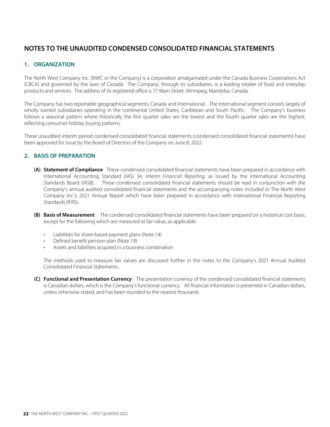#### **1. ORGANIZATION**

The North West Company Inc. (NWC or the Company) is a corporation amalgamated under the Canada Business Corporations Act (CBCA) and governed by the laws of Canada. The Company, through its subsidiaries, is a leading retailer of food and everyday products and services. The address of its registered office is 77 Main Street, Winnipeg, Manitoba, Canada.

The Company has two reportable geographical segments, Canada and International. The International segment consists largely of wholly owned subsidiaries operating in the continental United States, Caribbean and South Pacific. The Company's business follows a seasonal pattern where historically the first quarter sales are the lowest and the fourth quarter sales are the highest, reflecting consumer holiday buying patterns.

These unaudited interim period condensed consolidated financial statements (condensed consolidated financial statements) have been approved for issue by the Board of Directors of the Company on June 8, 2022.

#### **2. BASIS OF PREPARATION**

- **(A) Statement of Compliance** These condensed consolidated financial statements have been prepared in accordance with International Accounting Standard (IAS) 34, Interim Financial Reporting, as issued by the International Accounting Standards Board (IASB). These condensed consolidated financial statements should be read in conjunction with the Company's annual audited consolidated financial statements and the accompanying notes included in The North West Company Inc.'s 2021 Annual Report which have been prepared in accordance with International Financial Reporting Standards (IFRS).
- **(B) Basis of Measurement** The condensed consolidated financial statements have been prepared on a historical cost basis, except for the following which are measured at fair value, as applicable:
	- Liabilities for share-based payment plans (Note 14)
	- Defined benefit pension plan (Note 19)
	- Assets and liabilities acquired in a business combination

The methods used to measure fair values are discussed further in the notes to the Company's 2021 Annual Audited Consolidated Financial Statements.

**(C) Functional and Presentation Currency** The presentation currency of the condensed consolidated financial statements is Canadian dollars, which is the Company's functional currency. All financial information is presented in Canadian dollars, unless otherwise stated, and has been rounded to the nearest thousand.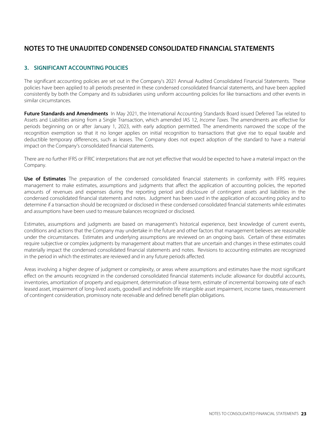#### **3. SIGNIFICANT ACCOUNTING POLICIES**

The significant accounting policies are set out in the Company's 2021 Annual Audited Consolidated Financial Statements. These policies have been applied to all periods presented in these condensed consolidated financial statements, and have been applied consistently by both the Company and its subsidiaries using uniform accounting policies for like transactions and other events in similar circumstances.

**Future Standards and Amendments** In May 2021, the International Accounting Standards Board issued Deferred Tax related to Assets and Liabilities arising from a Single Transaction, which amended IAS 12, Income Taxes. The amendments are effective for periods beginning on or after January 1, 2023, with early adoption permitted. The amendments narrowed the scope of the recognition exemption so that it no longer applies on initial recognition to transactions that give rise to equal taxable and deductible temporary differences, such as leases. The Company does not expect adoption of the standard to have a material impact on the Company's consolidated financial statements.

There are no further IFRS or IFRIC interpretations that are not yet effective that would be expected to have a material impact on the Company.

**Use of Estimates** The preparation of the condensed consolidated financial statements in conformity with IFRS requires management to make estimates, assumptions and judgments that affect the application of accounting policies, the reported amounts of revenues and expenses during the reporting period and disclosure of contingent assets and liabilities in the condensed consolidated financial statements and notes. Judgment has been used in the application of accounting policy and to determine if a transaction should be recognized or disclosed in these condensed consolidated financial statements while estimates and assumptions have been used to measure balances recognized or disclosed.

Estimates, assumptions and judgments are based on management's historical experience, best knowledge of current events, conditions and actions that the Company may undertake in the future and other factors that management believes are reasonable under the circumstances. Estimates and underlying assumptions are reviewed on an ongoing basis. Certain of these estimates require subjective or complex judgments by management about matters that are uncertain and changes in these estimates could materially impact the condensed consolidated financial statements and notes. Revisions to accounting estimates are recognized in the period in which the estimates are reviewed and in any future periods affected.

Areas involving a higher degree of judgment or complexity, or areas where assumptions and estimates have the most significant effect on the amounts recognized in the condensed consolidated financial statements include: allowance for doubtful accounts, inventories, amortization of property and equipment, determination of lease term, estimate of incremental borrowing rate of each leased asset, impairment of long-lived assets, goodwill and indefinite life intangible asset impairment, income taxes, measurement of contingent consideration, promissory note receivable and defined benefit plan obligations.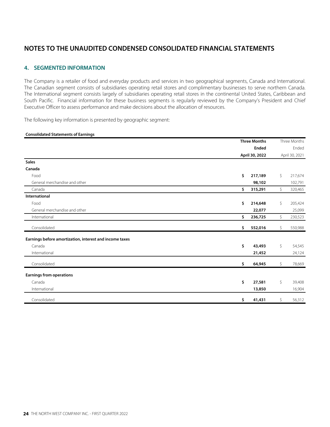#### **4. SEGMENTED INFORMATION**

The Company is a retailer of food and everyday products and services in two geographical segments, Canada and International. The Canadian segment consists of subsidiaries operating retail stores and complimentary businesses to serve northern Canada. The International segment consists largely of subsidiaries operating retail stores in the continental United States, Caribbean and South Pacific. Financial information for these business segments is regularly reviewed by the Company's President and Chief Executive Officer to assess performance and make decisions about the allocation of resources.

The following key information is presented by geographic segment:

#### **Consolidated Statements of Earnings**

|                                                         | <b>Three Months</b> |                | Three Months<br>Ended |                |
|---------------------------------------------------------|---------------------|----------------|-----------------------|----------------|
|                                                         |                     | <b>Ended</b>   |                       |                |
|                                                         |                     | April 30, 2022 |                       | April 30, 2021 |
| <b>Sales</b>                                            |                     |                |                       |                |
| Canada                                                  |                     |                |                       |                |
| Food                                                    | \$                  | 217,189        | \$                    | 217,674        |
| General merchandise and other                           |                     | 98,102         |                       | 102,791        |
| Canada                                                  | \$                  | 315,291        | \$                    | 320,465        |
| International                                           |                     |                |                       |                |
| Food                                                    | \$                  | 214,648        | \$                    | 205,424        |
| General merchandise and other                           |                     | 22,077         |                       | 25,099         |
| International                                           | \$                  | 236,725        | \$                    | 230,523        |
| Consolidated                                            | \$                  | 552,016        | \$                    | 550,988        |
| Earnings before amortization, interest and income taxes |                     |                |                       |                |
| Canada                                                  | \$                  | 43,493         | \$                    | 54,545         |
| International                                           |                     | 21,452         |                       | 24,124         |
| Consolidated                                            | \$                  | 64,945         | \$                    | 78,669         |
| <b>Earnings from operations</b>                         |                     |                |                       |                |
| Canada                                                  | \$                  | 27,581         | \$                    | 39,408         |
| International                                           |                     | 13,850         |                       | 16,904         |
| Consolidated                                            | \$                  | 41,431         | \$                    | 56,312         |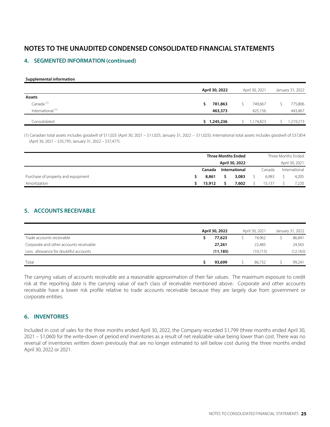#### **4. SEGMENTED INFORMATION (continued)**

#### **Supplemental information**

|                              | April 30, 2022 |  | April 30, 2021 |  | January 31, 2022 |
|------------------------------|----------------|--|----------------|--|------------------|
| Assets                       |                |  |                |  |                  |
| Canada <sup>(1)</sup>        | 781,863        |  | 749.667        |  | 775,806          |
| International <sup>(1)</sup> | 463,373        |  | 425.156        |  | 443,467          |
| Consolidated                 | \$1,245,236    |  | 1,174,823      |  | 1,219,273        |

(1) Canadian total assets includes goodwill of \$11,025 (April 30, 2021 – \$11,025; January 31, 2022 – \$11,025); International total assets includes goodwill of \$37,854 (April 30, 2021 – \$35,795; January 31, 2022 – \$37,477).

|                                    | <b>Three Months Ended</b> |        |  |               |  |        |  | Three Months Ended |
|------------------------------------|---------------------------|--------|--|---------------|--|--------|--|--------------------|
|                                    | April 30, 2022            |        |  |               |  |        |  | April 30, 2021     |
|                                    |                           | Canada |  | International |  | Canada |  | International      |
| Purchase of property and equipment |                           | 8,861  |  | 3.083         |  | 6.983  |  | 4,205              |
| Amortization                       |                           | 15,912 |  | 7.602         |  | 15.137 |  | 7,220              |

#### **5. ACCOUNTS RECEIVABLE**

|                                         |  |           |  | April 30, 2022<br>April 30, 2021 |  |           | January 31, 2022 |  |
|-----------------------------------------|--|-----------|--|----------------------------------|--|-----------|------------------|--|
| Trade accounts receivable               |  | 77,623    |  | 74.962                           |  | 86.841    |                  |  |
| Corporate and other accounts receivable |  | 27,261    |  | 22,485                           |  | 24,565    |                  |  |
| Less: allowance for doubtful accounts   |  | (11, 185) |  | (10.715)                         |  | (12, 165) |                  |  |
| Total                                   |  | 93,699    |  | 86.732                           |  | 99.241    |                  |  |

The carrying values of accounts receivable are a reasonable approximation of their fair values. The maximum exposure to credit risk at the reporting date is the carrying value of each class of receivable mentioned above. Corporate and other accounts receivable have a lower risk profile relative to trade accounts receivable because they are largely due from government or corporate entities.

#### **6. INVENTORIES**

Included in cost of sales for the three months ended April 30, 2022, the Company recorded \$1,799 (three months ended April 30, 2021 – \$1,060) for the write-down of period end inventories as a result of net realizable value being lower than cost. There was no reversal of inventories written down previously that are no longer estimated to sell below cost during the three months ended April 30, 2022 or 2021.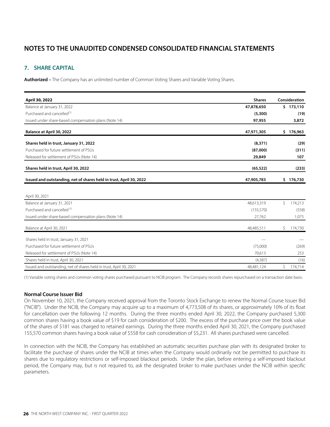#### **7. SHARE CAPITAL**

**Authorized –** The Company has an unlimited number of Common Voting Shares and Variable Voting Shares.

| April 30, 2022                                                      | <b>Shares</b> |    | Consideration |
|---------------------------------------------------------------------|---------------|----|---------------|
| Balance at January 31, 2022                                         | 47,878,650    |    | \$173,110     |
| Purchased and cancelled <sup>(1)</sup>                              | (5,300)       |    | (19)          |
| Issued under share-based compensation plans (Note 14)               | 97,955        |    | 3,872         |
| Balance at April 30, 2022                                           | 47,971,305    |    | \$176,963     |
| Shares held in trust, January 31, 2022                              | (8, 371)      |    | (29)          |
| Purchased for future settlement of PSUs                             | (87,000)      |    | (311)         |
| Released for settlement of PSUs (Note 14)                           | 29,849        |    | 107           |
| Shares held in trust, April 30, 2022                                | (65, 522)     |    | (233)         |
| Issued and outstanding, net of shares held in trust, April 30, 2022 | 47,905,783    |    | \$176,730     |
|                                                                     |               |    |               |
| April 30, 2021                                                      |               |    |               |
| Balance at January 31, 2021                                         | 48,613,319    | \$ | 174,213       |
| Purchased and cancelled <sup>(1)</sup>                              | (155, 570)    |    | (558)         |
| Issued under share-based compensation plans (Note 14)               | 27,762        |    | 1,075         |
| Balance at April 30, 2021                                           | 48,485,511    | Ŝ. | 174,730       |
| Shares held in trust, January 31, 2021                              |               |    |               |
| Purchased for future settlement of PSUs                             | (75,000)      |    | (269)         |
| Released for settlement of PSUs (Note 14)                           | 70,613        |    | 253           |
| Shares held in trust, April 30, 2021                                | (4,387)       |    | (16)          |
| Issued and outstanding, net of shares held in trust, April 30, 2021 | 48,481,124    | Ŝ. | 174,714       |

(1) Variable voting shares and common voting shares purchased pursuant to NCIB program. The Company records shares repurchased on a transaction date basis.

#### **Normal Course Issuer Bid**

On November 10, 2021, the Company received approval from the Toronto Stock Exchange to renew the Normal Course Issuer Bid ("NCIB"). Under the NCIB, the Company may acquire up to a maximum of 4,773,508 of its shares, or approximately 10% of its float for cancellation over the following 12 months. During the three months ended April 30, 2022, the Company purchased 5,300 common shares having a book value of \$19 for cash consideration of \$200. The excess of the purchase price over the book value of the shares of \$181 was charged to retained earnings. During the three months ended April 30, 2021, the Company purchased 155,570 common shares having a book value of \$558 for cash consideration of \$5,231. All shares purchased were cancelled.

In connection with the NCIB, the Company has established an automatic securities purchase plan with its designated broker to facilitate the purchase of shares under the NCIB at times when the Company would ordinarily not be permitted to purchase its shares due to regulatory restrictions or self-imposed blackout periods. Under the plan, before entering a self-imposed blackout period, the Company may, but is not required to, ask the designated broker to make purchases under the NCIB within specific parameters.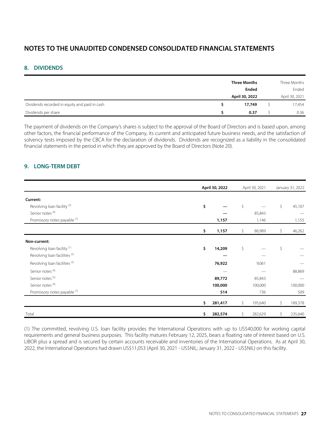#### **8. DIVIDENDS**

|                                               | <b>Three Months</b> | Three Months   |
|-----------------------------------------------|---------------------|----------------|
|                                               | <b>Ended</b>        | Ended          |
|                                               | April 30, 2022      | April 30, 2021 |
| Dividends recorded in equity and paid in cash | 17,749              | 17,454         |
| Dividends per share                           | 0.37                | 0.36           |

The payment of dividends on the Company's shares is subject to the approval of the Board of Directors and is based upon, among other factors, the financial performance of the Company, its current and anticipated future business needs, and the satisfaction of solvency tests imposed by the CBCA for the declaration of dividends. Dividends are recognized as a liability in the consolidated financial statements in the period in which they are approved by the Board of Directors (Note 20).

#### **9. LONG-TERM DEBT**

|                                          | April 30, 2022 |         | April 30, 2021 | January 31, 2022 |
|------------------------------------------|----------------|---------|----------------|------------------|
| Current:                                 |                |         |                |                  |
| Revolving loan facility <sup>(3)</sup>   | \$             |         | \$             | \$<br>45,107     |
| Senior notes <sup>(4)</sup>              |                |         | 85,843         |                  |
| Promissory notes payable (7)             |                | 1,157   | 1,146          | 1,155            |
|                                          | \$             | 1,157   | \$<br>86,989   | \$<br>46,262     |
| Non-current:                             |                |         |                |                  |
| Revolving loan facility <sup>(1)</sup>   | \$             | 14,209  | \$             | \$               |
| Revolving loan facilities <sup>(2)</sup> |                |         |                |                  |
| Revolving loan facilities (3)            |                | 76,922  | 9,061          |                  |
| Senior notes <sup>(4)</sup>              |                |         |                | 88,869           |
| Senior notes <sup>(5)</sup>              |                | 89,772  | 85,843         |                  |
| Senior notes <sup>(6)</sup>              |                | 100,000 | 100,000        | 100,000          |
| Promissory notes payable (7)             |                | 514     | 736            | 509              |
|                                          | \$             | 281,417 | \$<br>195,640  | \$<br>189,378    |
| Total                                    | \$             | 282,574 | \$<br>282,629  | \$<br>235,640    |

(1) The committed, revolving U.S. loan facility provides the International Operations with up to US\$40,000 for working capital requirements and general business purposes. This facility matures February 12, 2025, bears a floating rate of interest based on U.S. LIBOR plus a spread and is secured by certain accounts receivable and inventories of the International Operations. As at April 30, 2022, the International Operations had drawn US\$11,053 (April 30, 2021 - US\$NIL; January 31, 2022 - US\$NIL) on this facility.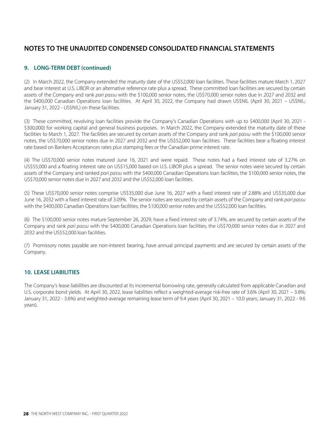#### **9. LONG-TERM DEBT (continued)**

(2) In March 2022, the Company extended the maturity date of the US\$52,000 loan facilities. These facilities mature March 1, 2027 and bear interest at U.S. LIBOR or an alternative reference rate plus a spread. These committed loan facilities are secured by certain assets of the Company and rank pari passu with the \$100,000 senior notes, the US\$70,000 senior notes due in 2027 and 2032 and the \$400,000 Canadian Operations loan facilities. At April 30, 2022, the Company had drawn US\$NIL (April 30, 2021 – US\$NIL; January 31, 2022 - US\$NIL) on these facilities.

(3) These committed, revolving loan facilities provide the Company's Canadian Operations with up to \$400,000 (April 30, 2021 - \$300,000) for working capital and general business purposes. In March 2022, the Company extended the maturity date of these facilities to March 1, 2027. The facilities are secured by certain assets of the Company and rank pari passu with the \$100,000 senior notes, the US\$70,000 senior notes due in 2027 and 2032 and the US\$52,000 loan facilities. These facilities bear a floating interest rate based on Bankers Acceptances rates plus stamping fees or the Canadian prime interest rate.

(4) The US\$70,000 senior notes matured June 16, 2021 and were repaid. These notes had a fixed interest rate of 3.27% on US\$55,000 and a floating interest rate on US\$15,000 based on U.S. LIBOR plus a spread. The senior notes were secured by certain assets of the Company and ranked pari passu with the \$400,000 Canadian Operations loan facilities, the \$100,000 senior notes, the US\$70,000 senior notes due in 2027 and 2032 and the US\$52,000 loan facilities.

(5) These US\$70,000 senior notes comprise US\$35,000 due June 16, 2027 with a fixed interest rate of 2.88% and US\$35,000 due June 16, 2032 with a fixed interest rate of 3.09%. The senior notes are secured by certain assets of the Company and rank pari passu with the \$400,000 Canadian Operations loan facilities, the \$100,000 senior notes and the US\$52,000 loan facilities.

(6) The \$100,000 senior notes mature September 26, 2029, have a fixed interest rate of 3.74%, are secured by certain assets of the Company and rank pari passu with the \$400,000 Canadian Operations loan facilities, the US\$70,000 senior notes due in 2027 and 2032 and the US\$52,000 loan facilities.

(7) Promissory notes payable are non-interest bearing, have annual principal payments and are secured by certain assets of the Company.

#### **10. LEASE LIABILITIES**

The Company's lease liabilities are discounted at its incremental borrowing rate, generally calculated from applicable Canadian and U.S. corporate bond yields. At April 30, 2022, lease liabilities reflect a weighted-average risk-free rate of 3.6% (April 30, 2021 – 3.8%; January 31, 2022 - 3.6%) and weighted-average remaining lease term of 9.4 years (April 30, 2021 – 10.0 years; January 31, 2022 - 9.6 years).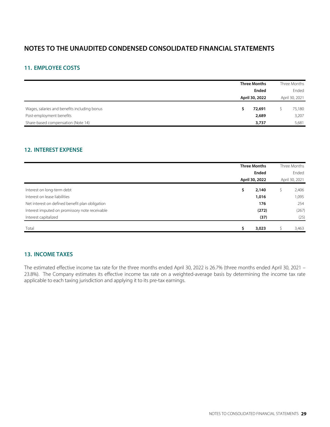#### **11. EMPLOYEE COSTS**

|                                                                          |                | <b>Three Months</b> |                | Three Months   |
|--------------------------------------------------------------------------|----------------|---------------------|----------------|----------------|
|                                                                          | <b>Ended</b>   |                     | Ended          |                |
|                                                                          | April 30, 2022 |                     | April 30, 2021 |                |
| Wages, salaries and benefits including bonus<br>Post-employment benefits |                | 72,691<br>2,689     |                | 75,180         |
| Share-based compensation (Note 14)                                       |                | 3,737               |                | 3,207<br>5,681 |

#### **12. INTEREST EXPENSE**

|                                                 |                | <b>Three Months</b><br><b>Ended</b> |  | Three Months   |  |
|-------------------------------------------------|----------------|-------------------------------------|--|----------------|--|
|                                                 |                |                                     |  | Ended          |  |
|                                                 | April 30, 2022 |                                     |  | April 30, 2021 |  |
| Interest on long-term debt                      | \$.            | 2,140                               |  | 2,406          |  |
| Interest on lease liabilities                   |                | 1,016                               |  | 1,095          |  |
| Net interest on defined benefit plan obligation |                | 176                                 |  | 254            |  |
| Interest imputed on promissory note receivable  |                | (272)                               |  | (267)          |  |
| Interest capitalized                            |                | (37)                                |  | (25)           |  |
| Total                                           |                | 3,023                               |  | 3,463          |  |

#### **13. INCOME TAXES**

The estimated effective income tax rate for the three months ended April 30, 2022 is 26.7% (three months ended April 30, 2021 – 23.8%). The Company estimates its effective income tax rate on a weighted-average basis by determining the income tax rate applicable to each taxing jurisdiction and applying it to its pre-tax earnings.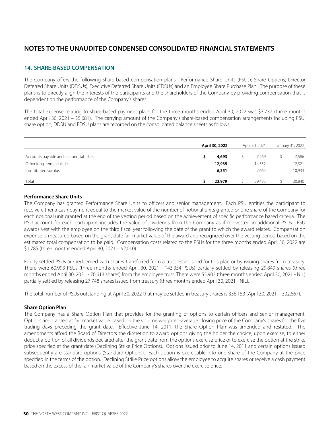#### **14. SHARE-BASED COMPENSATION**

The Company offers the following share-based compensation plans: Performance Share Units (PSUs); Share Options; Director Deferred Share Units (DDSUs); Executive Deferred Share Units (EDSUs) and an Employee Share Purchase Plan. The purpose of these plans is to directly align the interests of the participants and the shareholders of the Company by providing compensation that is dependent on the performance of the Company's shares.

The total expense relating to share-based payment plans for the three months ended April 30, 2022 was \$3,737 (three months ended April 30, 2021 – \$5,681). The carrying amount of the Company's share-based compensation arrangements including PSU, share option, DDSU and EDSU plans are recorded on the consolidated balance sheets as follows:

|                                          | April 30, 2022 |        | April 30, 2021 |        | January 31, 2022 |        |
|------------------------------------------|----------------|--------|----------------|--------|------------------|--------|
| Accounts payable and accrued liabilities |                | 4,693  |                | 7.269  |                  | 7,586  |
| Other long-term liabilities              |                | 12,935 |                | 14,552 |                  | 12,321 |
| Contributed surplus                      |                | 6,351  |                | 7.664  |                  | 10,933 |
| Total                                    |                | 23,979 |                | 29,485 |                  | 30,840 |

#### **Performance Share Units**

The Company has granted Performance Share Units to officers and senior management. Each PSU entitles the participant to receive either a cash payment equal to the market value of the number of notional units granted or one share of the Company for each notional unit granted at the end of the vesting period based on the achievement of specific performance based criteria. The PSU account for each participant includes the value of dividends from the Company as if reinvested in additional PSUs. PSU awards vest with the employee on the third fiscal year following the date of the grant to which the award relates. Compensation expense is measured based on the grant date fair market value of the award and recognized over the vesting period based on the estimated total compensation to be paid. Compensation costs related to the PSUs for the three months ended April 30, 2022 are \$1,785 (three months ended April 30, 2021 – \$2,010).

Equity settled PSUs are redeemed with shares transferred from a trust established for this plan or by issuing shares from treasury. There were 60,993 PSUs (three months ended April 30, 2021 - 143,354 PSUs) partially settled by releasing 29,849 shares (three months ended April 30, 2021 - 70,613 shares) from the employee trust. There were 55,903 (three months ended April 30, 2021 - NIL) partially settled by releasing 27,748 shares issued from treasury (three months ended April 30, 2021 - NIL).

The total number of PSUs outstanding at April 30, 2022 that may be settled in treasury shares is 336,153 (April 30, 2021 – 302,667).

#### **Share Option Plan**

The Company has a Share Option Plan that provides for the granting of options to certain officers and senior management. Options are granted at fair market value based on the volume weighted-average closing price of the Company's shares for the five trading days preceding the grant date. Effective June 14, 2011, the Share Option Plan was amended and restated. The amendments afford the Board of Directors the discretion to award options giving the holder the choice, upon exercise, to either deduct a portion of all dividends declared after the grant date from the options exercise price or to exercise the option at the strike price specified at the grant date (Declining Strike Price Options). Options issued prior to June 14, 2011 and certain options issued subsequently are standard options (Standard Options). Each option is exercisable into one share of the Company at the price specified in the terms of the option. Declining Strike Price options allow the employee to acquire shares or receive a cash payment based on the excess of the fair market value of the Company's shares over the exercise price.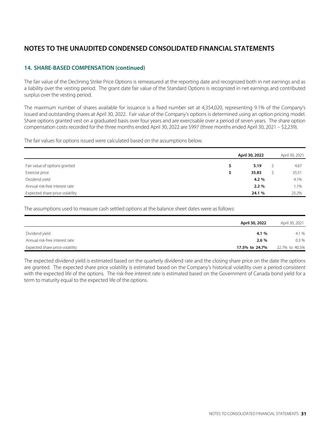#### **14. SHARE-BASED COMPENSATION (continued)**

The fair value of the Declining Strike Price Options is remeasured at the reporting date and recognized both in net earnings and as a liability over the vesting period. The grant date fair value of the Standard Options is recognized in net earnings and contributed surplus over the vesting period.

The maximum number of shares available for issuance is a fixed number set at 4,354,020, representing 9.1% of the Company's issued and outstanding shares at April 30, 2022. Fair value of the Company's options is determined using an option pricing model. Share options granted vest on a graduated basis over four years and are exercisable over a period of seven years. The share option compensation costs recorded for the three months ended April 30, 2022 are \$997 (three months ended April 30, 2021 – \$2,239).

The fair values for options issued were calculated based on the assumptions below.

|                                 | April 30, 2022 | April 30, 2021 |
|---------------------------------|----------------|----------------|
| Fair value of options granted   | 5.19           | 4.67           |
| Exercise price                  | 35.83          | 35.51          |
| Dividend yield                  | 4.2 %          | 4.1%           |
| Annual risk-free interest rate  | 2.2%           | 1.1%           |
| Expected share price volatility | 24.1 %         | 25.2%          |

The assumptions used to measure cash settled options at the balance sheet dates were as follows:

|                                                   | April 30, 2022 |                |  |
|---------------------------------------------------|----------------|----------------|--|
| Dividend yield                                    | 4.1 %          | 4.1 %          |  |
| Annual risk-free interest rate                    | 2.6%           | 0.3%           |  |
| Expected share price volatility<br>17.5% to 24.7% |                | 22.7% to 40.5% |  |

The expected dividend yield is estimated based on the quarterly dividend rate and the closing share price on the date the options are granted. The expected share price volatility is estimated based on the Company's historical volatility over a period consistent with the expected life of the options. The risk-free interest rate is estimated based on the Government of Canada bond yield for a term to maturity equal to the expected life of the options.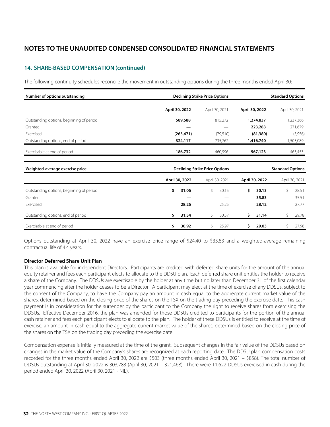#### **14. SHARE-BASED COMPENSATION (continued)**

The following continuity schedules reconcile the movement in outstanding options during the three months ended April 30:

| Number of options outstanding            | <b>Declining Strike Price Options</b> | <b>Standard Options</b> |                |                |
|------------------------------------------|---------------------------------------|-------------------------|----------------|----------------|
|                                          | April 30, 2022                        | April 30, 2021          | April 30, 2022 | April 30, 2021 |
|                                          |                                       |                         |                |                |
| Outstanding options, beginning of period | 589,588                               | 815.272                 | 1,274,837      | ,237,366       |
| Granted                                  |                                       |                         | 223,283        | 271,679        |
| Exercised                                | (265, 471)                            | (79, 510)               | (81,380)       | (5,956)        |
| Outstanding options, end of period       | 324,117                               | 735.762                 | 1,416,740      | ,503,089       |
| Exercisable at end of period             | 186,732                               | 460.996                 | 567,123        | 463,453        |

| Weighted-average exercise price          | <b>Declining Strike Price Options</b> |                |                | <b>Standard Options</b> |  |  |
|------------------------------------------|---------------------------------------|----------------|----------------|-------------------------|--|--|
|                                          | April 30, 2022                        | April 30, 2021 | April 30, 2022 | April 30, 2021          |  |  |
| Outstanding options, beginning of period | 31.06<br>Ś                            | 30.15          | 30.13          | 28.51                   |  |  |
| Granted                                  |                                       |                | 35.83          | 35.51                   |  |  |
| Exercised                                | 28.26                                 | 25.25          | 28.12          | 27.77                   |  |  |
| Outstanding options, end of period       | 31.54<br>Ŝ.                           | 30.57          | 31.14<br>Ś     | 29.78                   |  |  |
| Exercisable at end of period             | 30.92                                 | 25.97          | 29.03          | 27.98                   |  |  |

Options outstanding at April 30, 2022 have an exercise price range of \$24.40 to \$35.83 and a weighted-average remaining contractual life of 4.4 years.

#### **Director Deferred Share Unit Plan**

This plan is available for independent Directors. Participants are credited with deferred share units for the amount of the annual equity retainer and fees each participant elects to allocate to the DDSU plan. Each deferred share unit entitles the holder to receive a share of the Company. The DDSUs are exercisable by the holder at any time but no later than December 31 of the first calendar year commencing after the holder ceases to be a Director. A participant may elect at the time of exercise of any DDSUs, subject to the consent of the Company, to have the Company pay an amount in cash equal to the aggregate current market value of the shares, determined based on the closing price of the shares on the TSX on the trading day preceding the exercise date. This cash payment is in consideration for the surrender by the participant to the Company the right to receive shares from exercising the DDSUs. Effective December 2016, the plan was amended for those DDSUs credited to participants for the portion of the annual cash retainer and fees each participant elects to allocate to the plan. The holder of these DDSUs is entitled to receive at the time of exercise, an amount in cash equal to the aggregate current market value of the shares, determined based on the closing price of the shares on the TSX on the trading day preceding the exercise date.

Compensation expense is initially measured at the time of the grant. Subsequent changes in the fair value of the DDSUs based on changes in the market value of the Company's shares are recognized at each reporting date. The DDSU plan compensation costs recorded for the three months ended April 30, 2022 are \$503 (three months ended April 30, 2021 – \$858). The total number of DDSUs outstanding at April 30, 2022 is 303,783 (April 30, 2021 – 321,468). There were 11,622 DDSUs exercised in cash during the period ended April 30, 2022 (April 30, 2021 - NIL).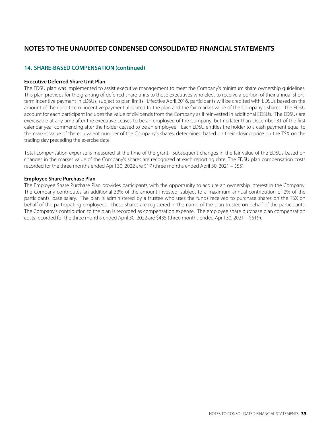#### **14. SHARE-BASED COMPENSATION (continued)**

#### **Executive Deferred Share Unit Plan**

The EDSU plan was implemented to assist executive management to meet the Company's minimum share ownership guidelines. This plan provides for the granting of deferred share units to those executives who elect to receive a portion of their annual shortterm incentive payment in EDSUs, subject to plan limits. Effective April 2016, participants will be credited with EDSUs based on the amount of their short-term incentive payment allocated to the plan and the fair market value of the Company's shares. The EDSU account for each participant includes the value of dividends from the Company as if reinvested in additional EDSUs. The EDSUs are exercisable at any time after the executive ceases to be an employee of the Company, but no later than December 31 of the first calendar year commencing after the holder ceased to be an employee. Each EDSU entitles the holder to a cash payment equal to the market value of the equivalent number of the Company's shares, determined based on their closing price on the TSX on the trading day preceding the exercise date.

Total compensation expense is measured at the time of the grant. Subsequent changes in the fair value of the EDSUs based on changes in the market value of the Company's shares are recognized at each reporting date. The EDSU plan compensation costs recorded for the three months ended April 30, 2022 are \$17 (three months ended April 30, 2021 – \$55).

#### **Employee Share Purchase Plan**

The Employee Share Purchase Plan provides participants with the opportunity to acquire an ownership interest in the Company. The Company contributes an additional 33% of the amount invested, subject to a maximum annual contribution of 2% of the participants' base salary. The plan is administered by a trustee who uses the funds received to purchase shares on the TSX on behalf of the participating employees. These shares are registered in the name of the plan trustee on behalf of the participants. The Company's contribution to the plan is recorded as compensation expense. The employee share purchase plan compensation costs recorded for the three months ended April 30, 2022 are \$435 (three months ended April 30, 2021 – \$519).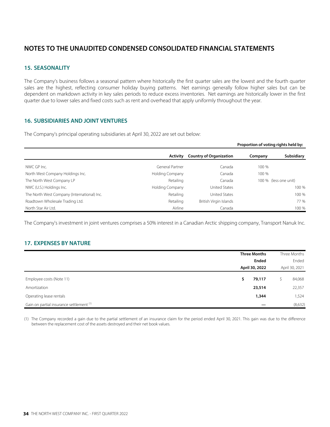#### **15. SEASONALITY**

The Company's business follows a seasonal pattern where historically the first quarter sales are the lowest and the fourth quarter sales are the highest, reflecting consumer holiday buying patterns. Net earnings generally follow higher sales but can be dependent on markdown activity in key sales periods to reduce excess inventories. Net earnings are historically lower in the first quarter due to lower sales and fixed costs such as rent and overhead that apply uniformly throughout the year.

#### **16. SUBSIDIARIES AND JOINT VENTURES**

The Company's principal operating subsidiaries at April 30, 2022 are set out below:

|                                             |                 |                                |         | Proportion of voting rights held by: |  |
|---------------------------------------------|-----------------|--------------------------------|---------|--------------------------------------|--|
|                                             | Activity        | <b>Country of Organization</b> | Company | <b>Subsidiary</b>                    |  |
| NWC GP Inc.                                 | General Partner | Canada                         | 100 %   |                                      |  |
| North West Company Holdings Inc.            | Holding Company | Canada                         | 100 %   |                                      |  |
| The North West Company LP                   | Retailing       | Canada                         |         | 100 % (less one unit)                |  |
| NWC (U.S.) Holdings Inc.                    | Holding Company | United States                  |         | 100 %                                |  |
| The North West Company (International) Inc. | Retailing       | <b>United States</b>           |         | 100 %                                |  |
| Roadtown Wholesale Trading Ltd.             | Retailing       | British Virgin Islands         |         | 77 %                                 |  |
| North Star Air Ltd.                         | Airline         | Canada                         |         | 100 %                                |  |

The Company's investment in joint ventures comprises a 50% interest in a Canadian Arctic shipping company, Transport Nanuk Inc.

#### **17. EXPENSES BY NATURE**

|                                                     |    | <b>Three Months</b><br><b>Ended</b><br>April 30, 2022 |  | Three Months<br>Ended<br>April 30, 2021 |  |
|-----------------------------------------------------|----|-------------------------------------------------------|--|-----------------------------------------|--|
|                                                     |    |                                                       |  |                                         |  |
|                                                     |    |                                                       |  |                                         |  |
| Employee costs (Note 11)                            | \$ | 79,117                                                |  | 84,068                                  |  |
| Amortization                                        |    | 23,514                                                |  | 22,357                                  |  |
| Operating lease rentals                             |    | 1,344                                                 |  | 1,524                                   |  |
| Gain on partial insurance settlement <sup>(1)</sup> |    |                                                       |  | (8,632)                                 |  |

(1) The Company recorded a gain due to the partial settlement of an insurance claim for the period ended April 30, 2021. This gain was due to the difference between the replacement cost of the assets destroyed and their net book values.